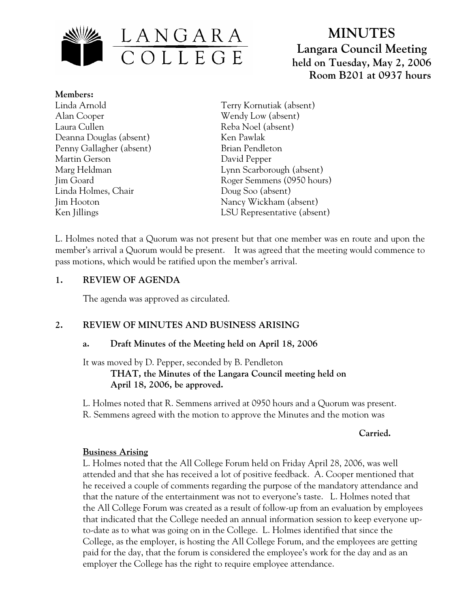

# **MINUTES Langara Council Meeting held on Tuesday, May 2, 2006 Room B201 at 0937 hours**

**Members:** Linda Arnold Alan Cooper Laura Cullen Deanna Douglas (absent) Penny Gallagher (absent) Martin Gerson Marg Heldman Jim Goard Linda Holmes, Chair Jim Hooton Ken Jillings

Terry Kornutiak (absent) Wendy Low (absent) Reba Noel (absent) Ken Pawlak Brian Pendleton David Pepper Lynn Scarborough (absent) Roger Semmens (0950 hours) Doug Soo (absent) Nancy Wickham (absent) LSU Representative (absent)

L. Holmes noted that a Quorum was not present but that one member was en route and upon the member's arrival a Quorum would be present. It was agreed that the meeting would commence to pass motions, which would be ratified upon the member's arrival.

## **1. REVIEW OF AGENDA**

The agenda was approved as circulated.

# **2. REVIEW OF MINUTES AND BUSINESS ARISING**

# **a. Draft Minutes of the Meeting held on April 18, 2006**

It was moved by D. Pepper, seconded by B. Pendleton  **THAT, the Minutes of the Langara Council meeting held on April 18, 2006, be approved.** 

L. Holmes noted that R. Semmens arrived at 0950 hours and a Quorum was present. R. Semmens agreed with the motion to approve the Minutes and the motion was

#### *Carried. Carried.*

# **Business Arising**

L. Holmes noted that the All College Forum held on Friday April 28, 2006, was well attended and that she has received a lot of positive feedback. A. Cooper mentioned that he received a couple of comments regarding the purpose of the mandatory attendance and that the nature of the entertainment was not to everyone's taste. L. Holmes noted that the All College Forum was created as a result of follow-up from an evaluation by employees that indicated that the College needed an annual information session to keep everyone upto-date as to what was going on in the College. L. Holmes identified that since the College, as the employer, is hosting the All College Forum, and the employees are getting paid for the day, that the forum is considered the employee's work for the day and as an employer the College has the right to require employee attendance.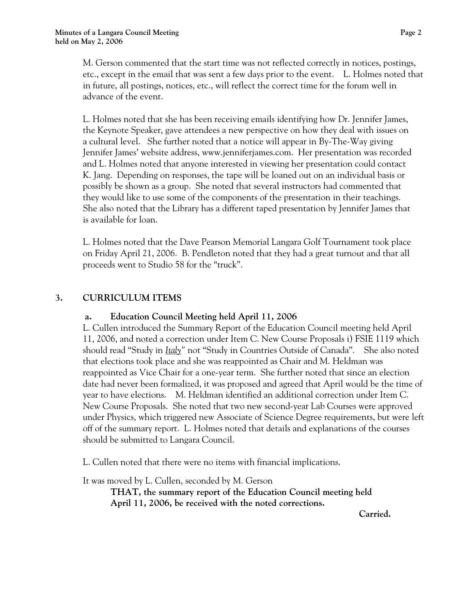M. Gerson commented that the start time was not reflected correctly in notices, postings, etc., except in the email that was sent a few days prior to the event. L. Holmes noted that in future, all postings, notices, etc., will reflect the correct time for the forum well in advance of the event.

L. Holmes noted that she has been receiving emails identifying how Dr. Jennifer James, the Keynote Speaker, gave attendees a new perspective on how they deal with issues on a cultural level. She further noted that a notice will appear in By-The-Way giving Jennifer James' website address, www.jenniferjames.com. Her presentation was recorded and L. Holmes noted that anyone interested in viewing her presentation could contact K. Jang. Depending on responses, the tape will be loaned out on an individual basis or possibly be shown as a group. She noted that several instructors had commented that they would like to use some of the components of the presentation in their teachings. She also noted that the Library has a different taped presentation by Jennifer James that is available for loan.

L. Holmes noted that the Dave Pearson Memorial Langara Golf Tournament took place on Friday April 21, 2006. B. Pendleton noted that they had a great turnout and that all proceeds went to Studio 58 for the "truck".

# **3. CURRICULUM ITEMS**

#### **a. Education Council Meeting held April 11, 2006**

L. Cullen introduced the Summary Report of the Education Council meeting held April 11, 2006, and noted a correction under Item C. New Course Proposals i) FSIE 1119 which should read "Study in *Italy"* not "Study in Countries Outside of Canada". She also noted that elections took place and she was reappointed as Chair and M. Heldman was reappointed as Vice Chair for a one-year term. She further noted that since an election date had never been formalized, it was proposed and agreed that April would be the time of year to have elections. M. Heldman identified an additional correction under Item C. New Course Proposals. She noted that two new second-year Lab Courses were approved under Physics, which triggered new Associate of Science Degree requirements, but were left off of the summary report. L. Holmes noted that details and explanations of the courses should be submitted to Langara Council.

L. Cullen noted that there were no items with financial implications.

It was moved by L. Cullen, seconded by M. Gerson

**THAT, the summary report of the Education Council meeting held April 11, 2006, be received with the noted corrections.** 

*Carried. Carried.*